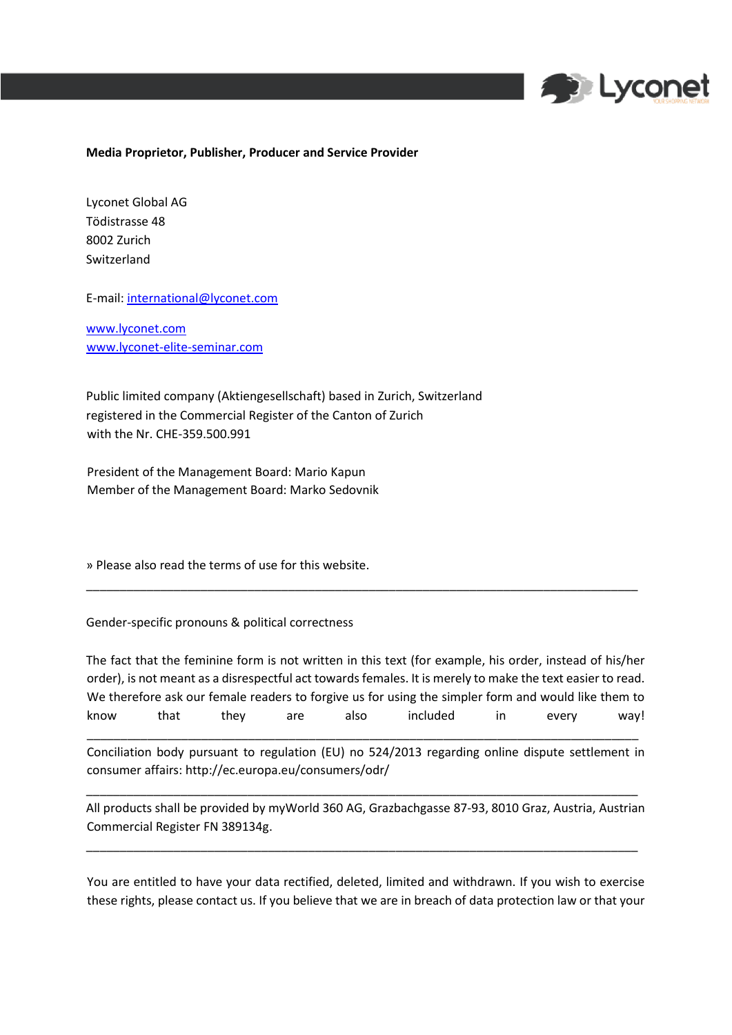

## **Media Proprietor, Publisher, Producer and Service Provider**

Lyconet Global AG Tödistrasse 48 8002 Zurich Switzerland

E-mail: international@lyconet.com

[www.lyconet.com](http://www.lyconet.com/) [www.lyconet](http://www.lyconet/)[-elite-seminar.com](http://www.lyconet-elite-seminar.com/)

Public limited company (Aktiengesellschaft) based in Zurich, Switzerland registered in the Commercial Register of the Canton of Zurich with the Nr. CHE-359.500.991

President of the Management Board: Mario Kapun Member of the Management Board: Marko Sedovnik

» Please also read the terms of use for this website.

Gender-specific pronouns & political correctness

The fact that the feminine form is not written in this text (for example, his order, instead of his/her order), is not meant as a disrespectful act towards females. It is merely to make the text easier to read. We therefore ask our female readers to forgive us for using the simpler form and would like them to know that they are also included in every way! \_\_\_\_\_\_\_\_\_\_\_\_\_\_\_\_\_\_\_\_\_\_\_\_\_\_\_\_\_\_\_\_\_\_\_\_\_\_\_\_\_\_\_\_\_\_\_\_\_\_\_\_\_\_\_\_\_\_\_\_\_\_\_\_\_\_\_\_\_\_\_\_\_\_\_\_\_\_\_\_\_\_

\_\_\_\_\_\_\_\_\_\_\_\_\_\_\_\_\_\_\_\_\_\_\_\_\_\_\_\_\_\_\_\_\_\_\_\_\_\_\_\_\_\_\_\_\_\_\_\_\_\_\_\_\_\_\_\_\_\_\_\_\_\_\_\_\_\_\_\_\_\_\_\_\_\_\_\_\_\_\_\_\_\_

Conciliation body pursuant to regulation (EU) no 524/2013 regarding online dispute settlement in consumer affairs: http://ec.europa.eu/consumers/odr/

\_\_\_\_\_\_\_\_\_\_\_\_\_\_\_\_\_\_\_\_\_\_\_\_\_\_\_\_\_\_\_\_\_\_\_\_\_\_\_\_\_\_\_\_\_\_\_\_\_\_\_\_\_\_\_\_\_\_\_\_\_\_\_\_\_\_\_\_\_\_\_\_\_\_\_\_\_\_\_\_\_\_

All products shall be provided by myWorld 360 AG, Grazbachgasse 87-93, 8010 Graz, Austria, Austrian Commercial Register FN 389134g.

\_\_\_\_\_\_\_\_\_\_\_\_\_\_\_\_\_\_\_\_\_\_\_\_\_\_\_\_\_\_\_\_\_\_\_\_\_\_\_\_\_\_\_\_\_\_\_\_\_\_\_\_\_\_\_\_\_\_\_\_\_\_\_\_\_\_\_\_\_\_\_\_\_\_\_\_\_\_\_\_\_\_

You are entitled to have your data rectified, deleted, limited and withdrawn. If you wish to exercise these rights, please contact us. If you believe that we are in breach of data protection law or that your